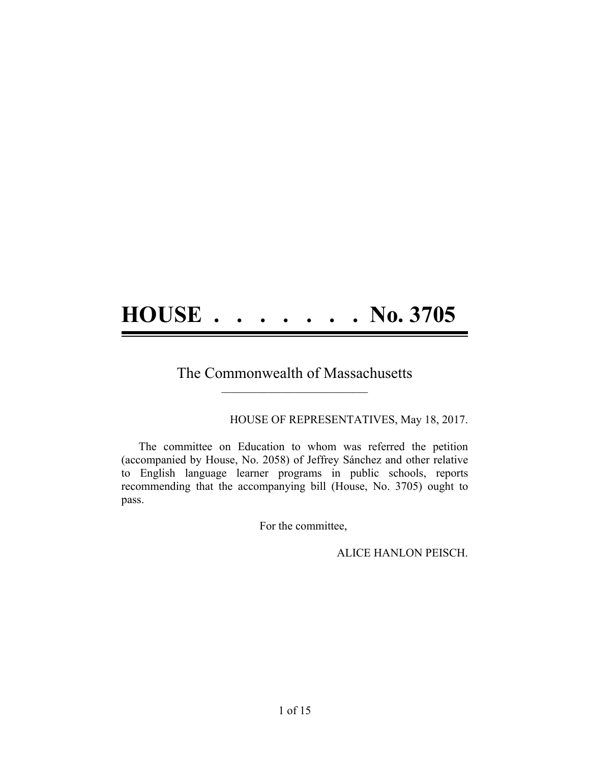# **HOUSE . . . . . . . No. 3705**

### The Commonwealth of Massachusetts **\_\_\_\_\_\_\_\_\_\_\_\_\_\_\_\_\_\_\_\_\_\_\_\_\_\_\_\_\_\_\_\_\_\_\_\_\_\_**

#### HOUSE OF REPRESENTATIVES, May 18, 2017.

The committee on Education to whom was referred the petition (accompanied by House, No. 2058) of Jeffrey Sánchez and other relative to English language learner programs in public schools, reports recommending that the accompanying bill (House, No. 3705) ought to pass.

For the committee,

ALICE HANLON PEISCH.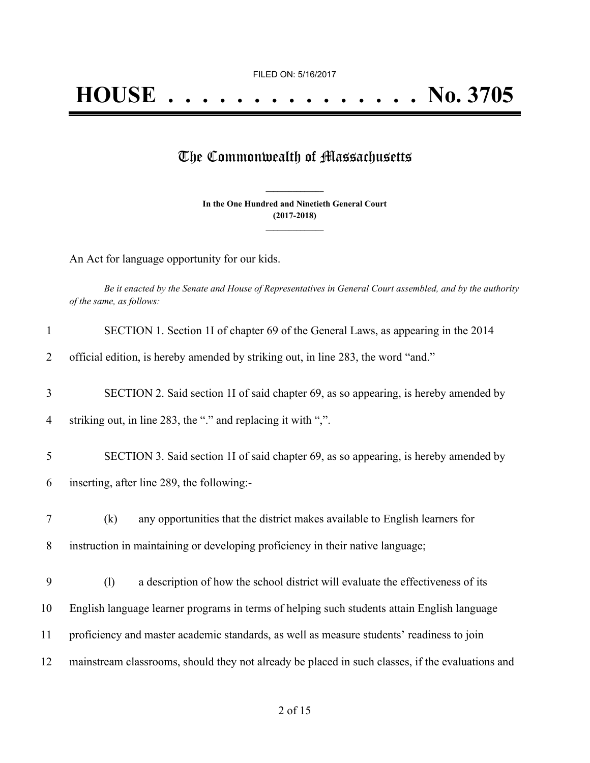## The Commonwealth of Massachusetts

**In the One Hundred and Ninetieth General Court (2017-2018) \_\_\_\_\_\_\_\_\_\_\_\_\_\_\_**

**\_\_\_\_\_\_\_\_\_\_\_\_\_\_\_**

An Act for language opportunity for our kids.

Be it enacted by the Senate and House of Representatives in General Court assembled, and by the authority *of the same, as follows:*

| $\mathbf{1}$ | SECTION 1. Section 1I of chapter 69 of the General Laws, as appearing in the 2014                |
|--------------|--------------------------------------------------------------------------------------------------|
| 2            | official edition, is hereby amended by striking out, in line 283, the word "and."                |
| 3            | SECTION 2. Said section 1I of said chapter 69, as so appearing, is hereby amended by             |
| 4            | striking out, in line 283, the "." and replacing it with ",".                                    |
| 5            | SECTION 3. Said section 1I of said chapter 69, as so appearing, is hereby amended by             |
| 6            | inserting, after line 289, the following:-                                                       |
| 7            | any opportunities that the district makes available to English learners for<br>(k)               |
| 8            | instruction in maintaining or developing proficiency in their native language;                   |
| 9            | a description of how the school district will evaluate the effectiveness of its<br>(1)           |
| 10           | English language learner programs in terms of helping such students attain English language      |
| 11           | proficiency and master academic standards, as well as measure students' readiness to join        |
| 12           | mainstream classrooms, should they not already be placed in such classes, if the evaluations and |
|              |                                                                                                  |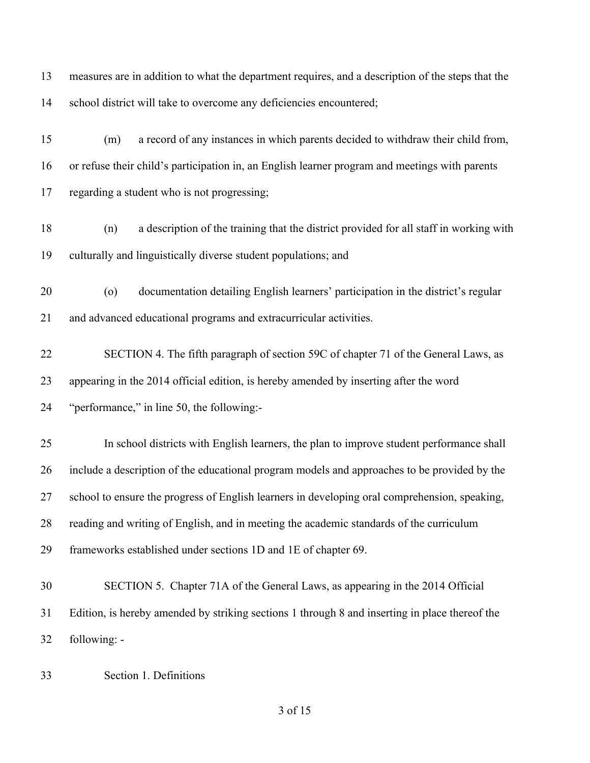measures are in addition to what the department requires, and a description of the steps that the school district will take to overcome any deficiencies encountered; (m) a record of any instances in which parents decided to withdraw their child from, or refuse their child's participation in, an English learner program and meetings with parents regarding a student who is not progressing; (n) a description of the training that the district provided for all staff in working with culturally and linguistically diverse student populations; and (o) documentation detailing English learners' participation in the district's regular and advanced educational programs and extracurricular activities. SECTION 4. The fifth paragraph of section 59C of chapter 71 of the General Laws, as appearing in the 2014 official edition, is hereby amended by inserting after the word "performance," in line 50, the following:- In school districts with English learners, the plan to improve student performance shall include a description of the educational program models and approaches to be provided by the school to ensure the progress of English learners in developing oral comprehension, speaking, reading and writing of English, and in meeting the academic standards of the curriculum frameworks established under sections 1D and 1E of chapter 69. SECTION 5. Chapter 71A of the General Laws, as appearing in the 2014 Official Edition, is hereby amended by striking sections 1 through 8 and inserting in place thereof the following: -

Section 1. Definitions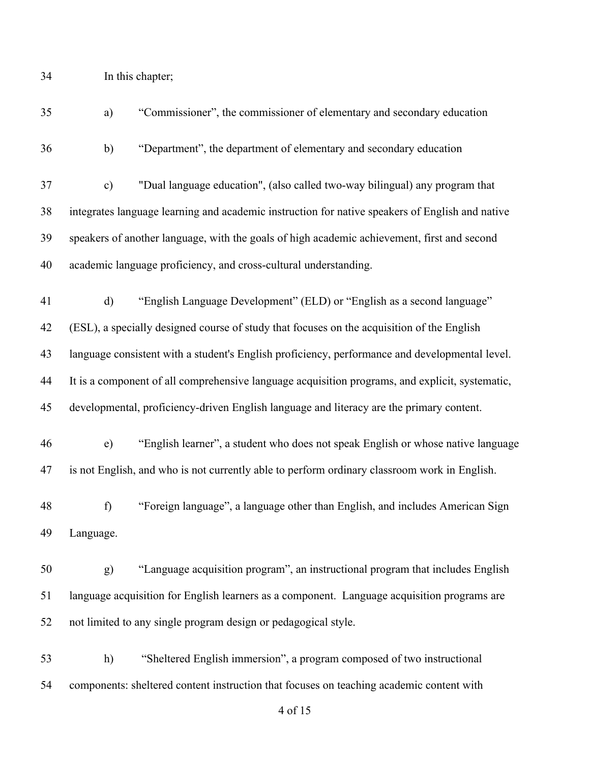In this chapter;

| 35 | a)                                                                                              | "Commissioner", the commissioner of elementary and secondary education                          |  |
|----|-------------------------------------------------------------------------------------------------|-------------------------------------------------------------------------------------------------|--|
| 36 | b)                                                                                              | "Department", the department of elementary and secondary education                              |  |
| 37 | $\mathbf{c})$                                                                                   | "Dual language education", (also called two-way bilingual) any program that                     |  |
| 38 |                                                                                                 | integrates language learning and academic instruction for native speakers of English and native |  |
| 39 | speakers of another language, with the goals of high academic achievement, first and second     |                                                                                                 |  |
| 40 |                                                                                                 | academic language proficiency, and cross-cultural understanding.                                |  |
| 41 | $\mathbf{d}$                                                                                    | "English Language Development" (ELD) or "English as a second language"                          |  |
| 42 |                                                                                                 | (ESL), a specially designed course of study that focuses on the acquisition of the English      |  |
| 43 |                                                                                                 | language consistent with a student's English proficiency, performance and developmental level.  |  |
| 44 | It is a component of all comprehensive language acquisition programs, and explicit, systematic, |                                                                                                 |  |
| 45 |                                                                                                 | developmental, proficiency-driven English language and literacy are the primary content.        |  |
| 46 | $\epsilon$ )                                                                                    | "English learner", a student who does not speak English or whose native language                |  |
| 47 |                                                                                                 | is not English, and who is not currently able to perform ordinary classroom work in English.    |  |
| 48 | f)                                                                                              | "Foreign language", a language other than English, and includes American Sign                   |  |
| 49 | Language.                                                                                       |                                                                                                 |  |
| 50 | g)                                                                                              | "Language acquisition program", an instructional program that includes English                  |  |
| 51 |                                                                                                 | language acquisition for English learners as a component. Language acquisition programs are     |  |
| 52 |                                                                                                 | not limited to any single program design or pedagogical style.                                  |  |
| 53 | h)                                                                                              | "Sheltered English immersion", a program composed of two instructional                          |  |
| 54 |                                                                                                 | components: sheltered content instruction that focuses on teaching academic content with        |  |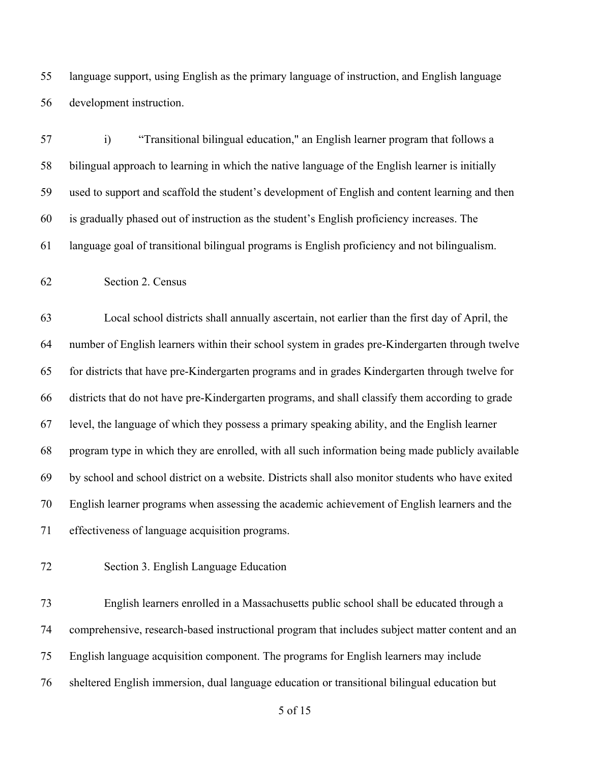language support, using English as the primary language of instruction, and English language development instruction.

 i) "Transitional bilingual education," an English learner program that follows a bilingual approach to learning in which the native language of the English learner is initially used to support and scaffold the student's development of English and content learning and then is gradually phased out of instruction as the student's English proficiency increases. The language goal of transitional bilingual programs is English proficiency and not bilingualism.

Section 2. Census

 Local school districts shall annually ascertain, not earlier than the first day of April, the number of English learners within their school system in grades pre-Kindergarten through twelve for districts that have pre-Kindergarten programs and in grades Kindergarten through twelve for districts that do not have pre-Kindergarten programs, and shall classify them according to grade level, the language of which they possess a primary speaking ability, and the English learner program type in which they are enrolled, with all such information being made publicly available by school and school district on a website. Districts shall also monitor students who have exited English learner programs when assessing the academic achievement of English learners and the effectiveness of language acquisition programs.

Section 3. English Language Education

 English learners enrolled in a Massachusetts public school shall be educated through a comprehensive, research-based instructional program that includes subject matter content and an English language acquisition component. The programs for English learners may include sheltered English immersion, dual language education or transitional bilingual education but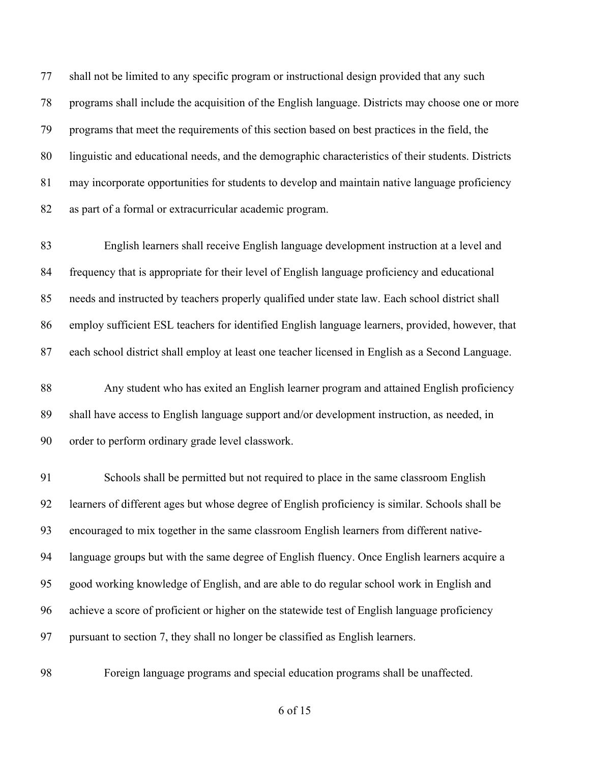shall not be limited to any specific program or instructional design provided that any such programs shall include the acquisition of the English language. Districts may choose one or more programs that meet the requirements of this section based on best practices in the field, the linguistic and educational needs, and the demographic characteristics of their students. Districts may incorporate opportunities for students to develop and maintain native language proficiency as part of a formal or extracurricular academic program.

 English learners shall receive English language development instruction at a level and frequency that is appropriate for their level of English language proficiency and educational needs and instructed by teachers properly qualified under state law. Each school district shall employ sufficient ESL teachers for identified English language learners, provided, however, that each school district shall employ at least one teacher licensed in English as a Second Language.

 Any student who has exited an English learner program and attained English proficiency shall have access to English language support and/or development instruction, as needed, in order to perform ordinary grade level classwork.

 Schools shall be permitted but not required to place in the same classroom English learners of different ages but whose degree of English proficiency is similar. Schools shall be encouraged to mix together in the same classroom English learners from different native- language groups but with the same degree of English fluency. Once English learners acquire a good working knowledge of English, and are able to do regular school work in English and achieve a score of proficient or higher on the statewide test of English language proficiency pursuant to section 7, they shall no longer be classified as English learners.

Foreign language programs and special education programs shall be unaffected.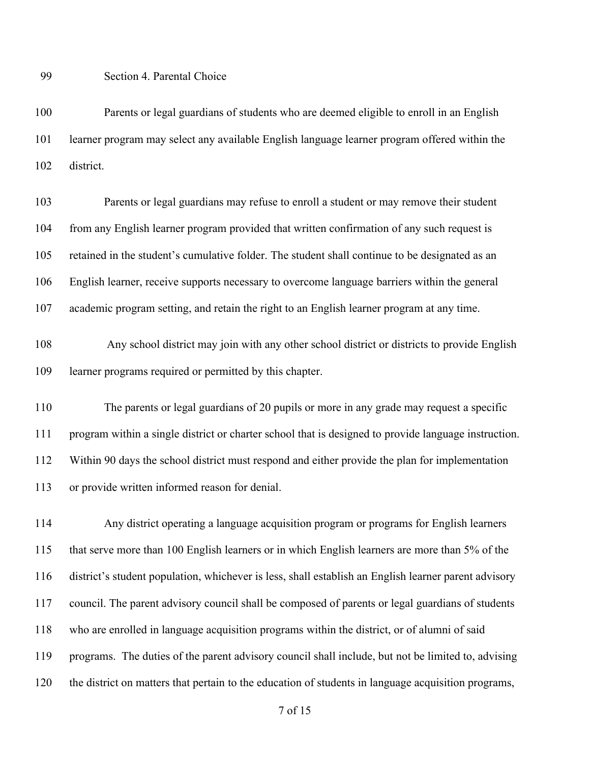Section 4. Parental Choice

 Parents or legal guardians of students who are deemed eligible to enroll in an English learner program may select any available English language learner program offered within the district.

 Parents or legal guardians may refuse to enroll a student or may remove their student from any English learner program provided that written confirmation of any such request is retained in the student's cumulative folder. The student shall continue to be designated as an English learner, receive supports necessary to overcome language barriers within the general academic program setting, and retain the right to an English learner program at any time.

 Any school district may join with any other school district or districts to provide English learner programs required or permitted by this chapter.

 The parents or legal guardians of 20 pupils or more in any grade may request a specific program within a single district or charter school that is designed to provide language instruction. Within 90 days the school district must respond and either provide the plan for implementation or provide written informed reason for denial.

 Any district operating a language acquisition program or programs for English learners that serve more than 100 English learners or in which English learners are more than 5% of the district's student population, whichever is less, shall establish an English learner parent advisory council. The parent advisory council shall be composed of parents or legal guardians of students who are enrolled in language acquisition programs within the district, or of alumni of said programs. The duties of the parent advisory council shall include, but not be limited to, advising the district on matters that pertain to the education of students in language acquisition programs,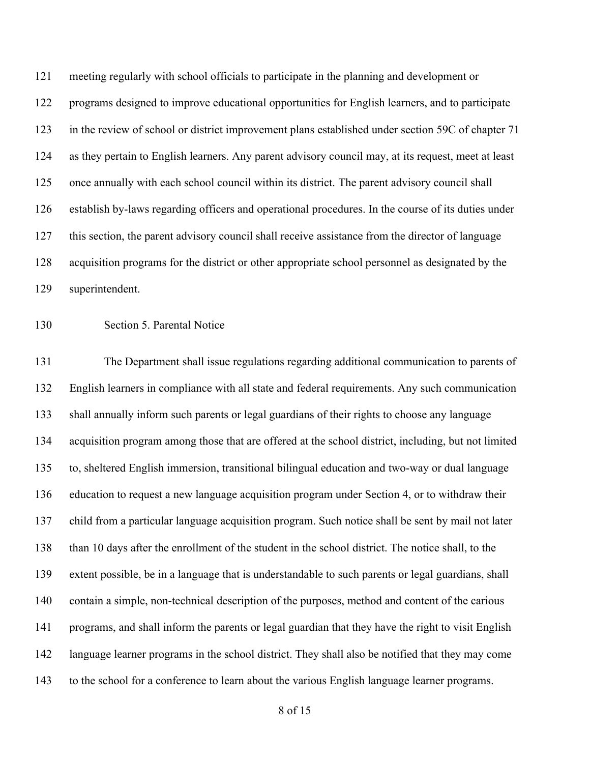meeting regularly with school officials to participate in the planning and development or programs designed to improve educational opportunities for English learners, and to participate in the review of school or district improvement plans established under section 59C of chapter 71 as they pertain to English learners. Any parent advisory council may, at its request, meet at least once annually with each school council within its district. The parent advisory council shall establish by-laws regarding officers and operational procedures. In the course of its duties under this section, the parent advisory council shall receive assistance from the director of language acquisition programs for the district or other appropriate school personnel as designated by the superintendent.

Section 5. Parental Notice

 The Department shall issue regulations regarding additional communication to parents of English learners in compliance with all state and federal requirements. Any such communication shall annually inform such parents or legal guardians of their rights to choose any language acquisition program among those that are offered at the school district, including, but not limited to, sheltered English immersion, transitional bilingual education and two-way or dual language education to request a new language acquisition program under Section 4, or to withdraw their child from a particular language acquisition program. Such notice shall be sent by mail not later than 10 days after the enrollment of the student in the school district. The notice shall, to the extent possible, be in a language that is understandable to such parents or legal guardians, shall contain a simple, non-technical description of the purposes, method and content of the carious programs, and shall inform the parents or legal guardian that they have the right to visit English language learner programs in the school district. They shall also be notified that they may come to the school for a conference to learn about the various English language learner programs.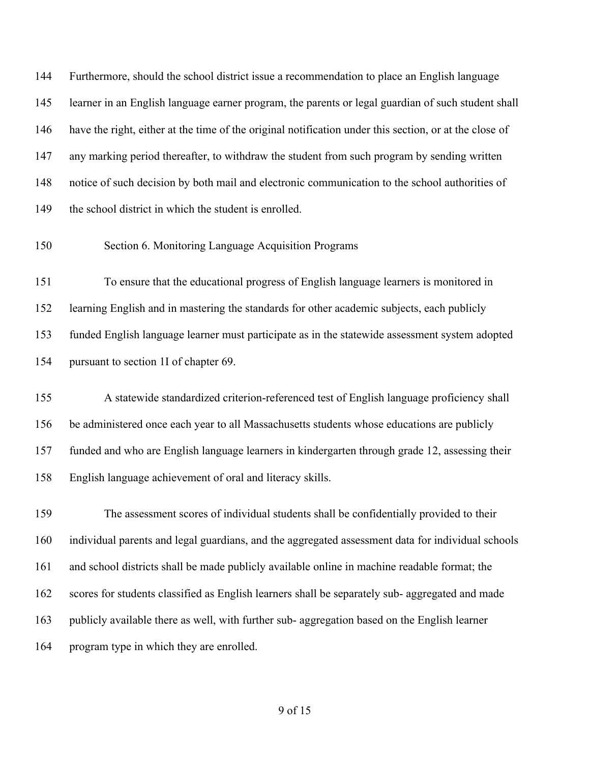Furthermore, should the school district issue a recommendation to place an English language learner in an English language earner program, the parents or legal guardian of such student shall have the right, either at the time of the original notification under this section, or at the close of any marking period thereafter, to withdraw the student from such program by sending written notice of such decision by both mail and electronic communication to the school authorities of the school district in which the student is enrolled.

Section 6. Monitoring Language Acquisition Programs

 To ensure that the educational progress of English language learners is monitored in learning English and in mastering the standards for other academic subjects, each publicly funded English language learner must participate as in the statewide assessment system adopted pursuant to section 1I of chapter 69.

 A statewide standardized criterion-referenced test of English language proficiency shall be administered once each year to all Massachusetts students whose educations are publicly funded and who are English language learners in kindergarten through grade 12, assessing their English language achievement of oral and literacy skills.

 The assessment scores of individual students shall be confidentially provided to their individual parents and legal guardians, and the aggregated assessment data for individual schools and school districts shall be made publicly available online in machine readable format; the scores for students classified as English learners shall be separately sub- aggregated and made publicly available there as well, with further sub- aggregation based on the English learner program type in which they are enrolled.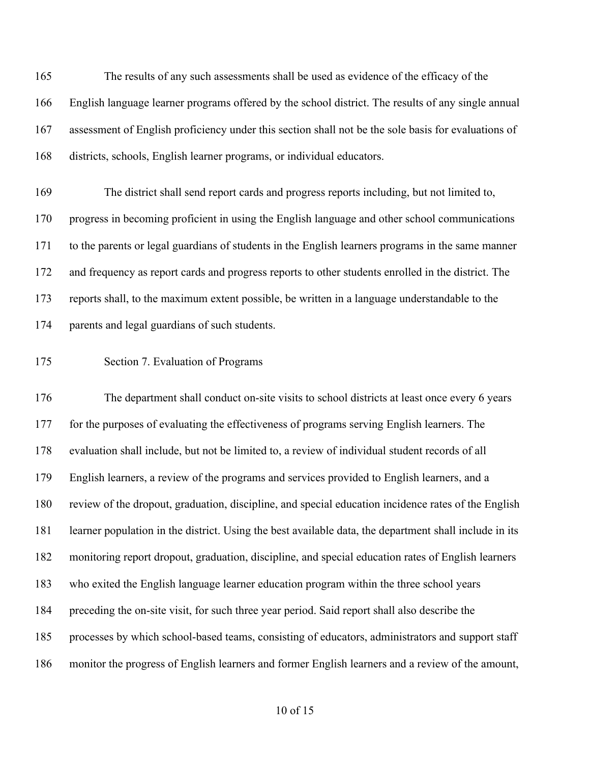The results of any such assessments shall be used as evidence of the efficacy of the English language learner programs offered by the school district. The results of any single annual assessment of English proficiency under this section shall not be the sole basis for evaluations of districts, schools, English learner programs, or individual educators.

 The district shall send report cards and progress reports including, but not limited to, progress in becoming proficient in using the English language and other school communications to the parents or legal guardians of students in the English learners programs in the same manner and frequency as report cards and progress reports to other students enrolled in the district. The reports shall, to the maximum extent possible, be written in a language understandable to the parents and legal guardians of such students.

Section 7. Evaluation of Programs

 The department shall conduct on-site visits to school districts at least once every 6 years for the purposes of evaluating the effectiveness of programs serving English learners. The evaluation shall include, but not be limited to, a review of individual student records of all English learners, a review of the programs and services provided to English learners, and a review of the dropout, graduation, discipline, and special education incidence rates of the English learner population in the district. Using the best available data, the department shall include in its monitoring report dropout, graduation, discipline, and special education rates of English learners who exited the English language learner education program within the three school years preceding the on-site visit, for such three year period. Said report shall also describe the processes by which school-based teams, consisting of educators, administrators and support staff monitor the progress of English learners and former English learners and a review of the amount,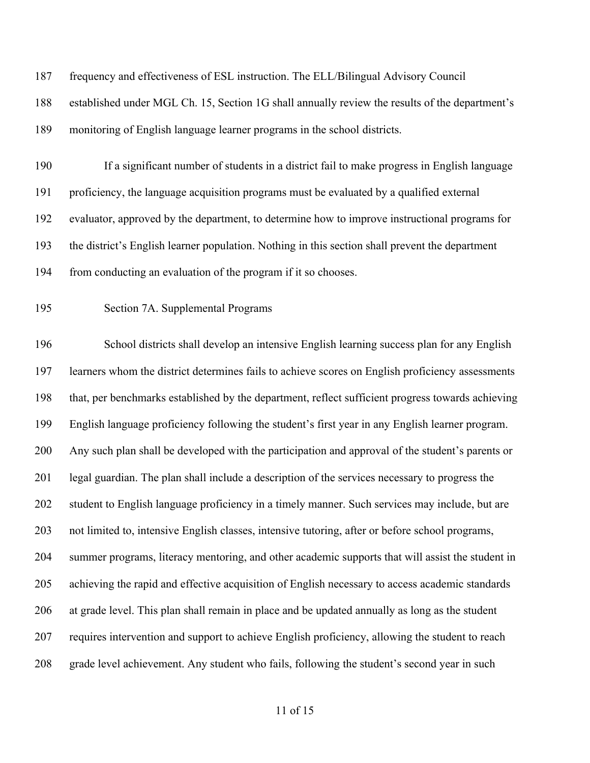| 187 | frequency and effectiveness of ESL instruction. The ELL/Bilingual Advisory Council                |
|-----|---------------------------------------------------------------------------------------------------|
| 188 | established under MGL Ch. 15, Section 1G shall annually review the results of the department's    |
| 189 | monitoring of English language learner programs in the school districts.                          |
| 190 | If a significant number of students in a district fail to make progress in English language       |
| 191 | proficiency, the language acquisition programs must be evaluated by a qualified external          |
| 192 | evaluator, approved by the department, to determine how to improve instructional programs for     |
| 193 | the district's English learner population. Nothing in this section shall prevent the department   |
| 194 | from conducting an evaluation of the program if it so chooses.                                    |
| 195 | Section 7A. Supplemental Programs                                                                 |
| 196 | School districts shall develop an intensive English learning success plan for any English         |
| 197 | learners whom the district determines fails to achieve scores on English proficiency assessments  |
| 198 | that, per benchmarks established by the department, reflect sufficient progress towards achieving |
| 199 | English language proficiency following the student's first year in any English learner program.   |
| 200 | Any such plan shall be developed with the participation and approval of the student's parents or  |
| 201 | legal guardian. The plan shall include a description of the services necessary to progress the    |
| 202 | student to English language proficiency in a timely manner. Such services may include, but are    |
| 203 | not limited to, intensive English classes, intensive tutoring, after or before school programs,   |
| 204 | summer programs, literacy mentoring, and other academic supports that will assist the student in  |
| 205 | achieving the rapid and effective acquisition of English necessary to access academic standards   |
| 206 | at grade level. This plan shall remain in place and be updated annually as long as the student    |
| 207 | requires intervention and support to achieve English proficiency, allowing the student to reach   |
| 208 | grade level achievement. Any student who fails, following the student's second year in such       |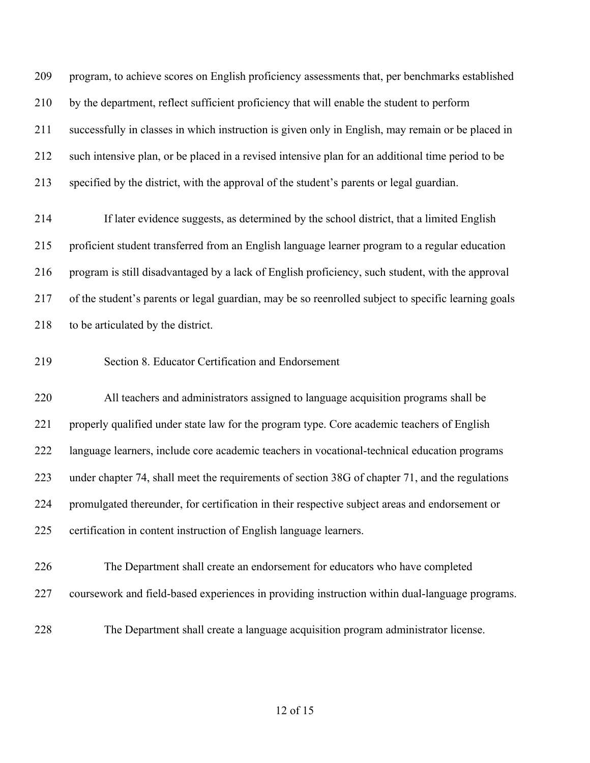program, to achieve scores on English proficiency assessments that, per benchmarks established by the department, reflect sufficient proficiency that will enable the student to perform successfully in classes in which instruction is given only in English, may remain or be placed in such intensive plan, or be placed in a revised intensive plan for an additional time period to be specified by the district, with the approval of the student's parents or legal guardian.

 If later evidence suggests, as determined by the school district, that a limited English proficient student transferred from an English language learner program to a regular education program is still disadvantaged by a lack of English proficiency, such student, with the approval of the student's parents or legal guardian, may be so reenrolled subject to specific learning goals 218 to be articulated by the district.

#### Section 8. Educator Certification and Endorsement

 All teachers and administrators assigned to language acquisition programs shall be properly qualified under state law for the program type. Core academic teachers of English language learners, include core academic teachers in vocational-technical education programs under chapter 74, shall meet the requirements of section 38G of chapter 71, and the regulations promulgated thereunder, for certification in their respective subject areas and endorsement or certification in content instruction of English language learners.

- The Department shall create an endorsement for educators who have completed coursework and field-based experiences in providing instruction within dual-language programs.
- 

The Department shall create a language acquisition program administrator license.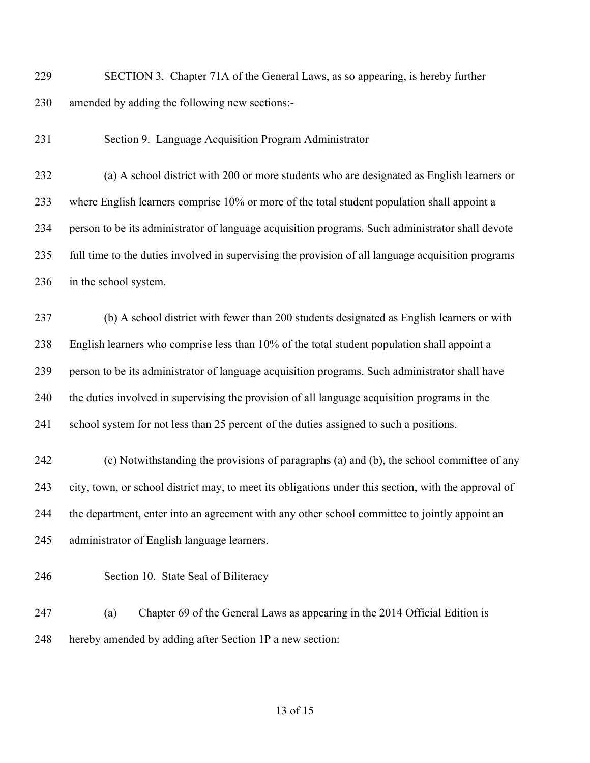SECTION 3. Chapter 71A of the General Laws, as so appearing, is hereby further amended by adding the following new sections:-

Section 9. Language Acquisition Program Administrator

 (a) A school district with 200 or more students who are designated as English learners or where English learners comprise 10% or more of the total student population shall appoint a person to be its administrator of language acquisition programs. Such administrator shall devote full time to the duties involved in supervising the provision of all language acquisition programs in the school system.

 (b) A school district with fewer than 200 students designated as English learners or with English learners who comprise less than 10% of the total student population shall appoint a person to be its administrator of language acquisition programs. Such administrator shall have the duties involved in supervising the provision of all language acquisition programs in the school system for not less than 25 percent of the duties assigned to such a positions.

 (c) Notwithstanding the provisions of paragraphs (a) and (b), the school committee of any city, town, or school district may, to meet its obligations under this section, with the approval of the department, enter into an agreement with any other school committee to jointly appoint an administrator of English language learners.

Section 10. State Seal of Biliteracy

 (a) Chapter 69 of the General Laws as appearing in the 2014 Official Edition is hereby amended by adding after Section 1P a new section: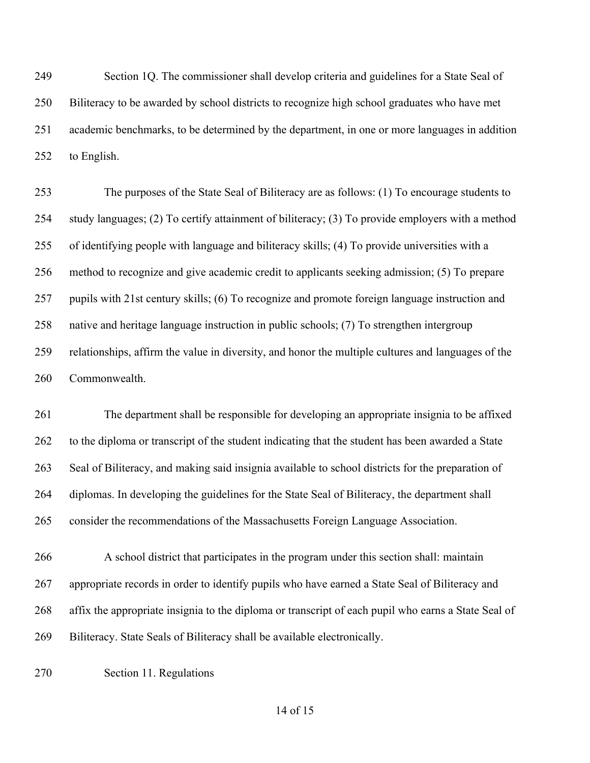Section 1Q. The commissioner shall develop criteria and guidelines for a State Seal of Biliteracy to be awarded by school districts to recognize high school graduates who have met academic benchmarks, to be determined by the department, in one or more languages in addition to English.

 The purposes of the State Seal of Biliteracy are as follows: (1) To encourage students to study languages; (2) To certify attainment of biliteracy; (3) To provide employers with a method of identifying people with language and biliteracy skills; (4) To provide universities with a method to recognize and give academic credit to applicants seeking admission; (5) To prepare pupils with 21st century skills; (6) To recognize and promote foreign language instruction and native and heritage language instruction in public schools; (7) To strengthen intergroup relationships, affirm the value in diversity, and honor the multiple cultures and languages of the Commonwealth.

 The department shall be responsible for developing an appropriate insignia to be affixed to the diploma or transcript of the student indicating that the student has been awarded a State Seal of Biliteracy, and making said insignia available to school districts for the preparation of diplomas. In developing the guidelines for the State Seal of Biliteracy, the department shall consider the recommendations of the Massachusetts Foreign Language Association.

 A school district that participates in the program under this section shall: maintain appropriate records in order to identify pupils who have earned a State Seal of Biliteracy and affix the appropriate insignia to the diploma or transcript of each pupil who earns a State Seal of Biliteracy. State Seals of Biliteracy shall be available electronically.

Section 11. Regulations